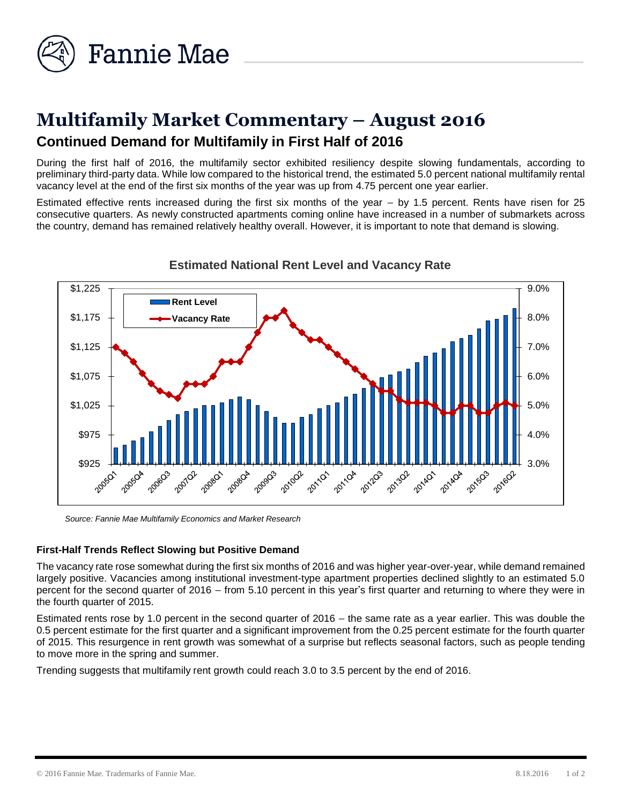

# **Multifamily Market Commentary – August 2016 Continued Demand for Multifamily in First Half of 2016**

During the first half of 2016, the multifamily sector exhibited resiliency despite slowing fundamentals, according to preliminary third-party data. While low compared to the historical trend, the estimated 5.0 percent national multifamily rental vacancy level at the end of the first six months of the year was up from 4.75 percent one year earlier.

Estimated effective rents increased during the first six months of the year  $-$  by 1.5 percent. Rents have risen for 25 consecutive quarters. As newly constructed apartments coming online have increased in a number of submarkets across the country, demand has remained relatively healthy overall. However, it is important to note that demand is slowing.



## **Estimated National Rent Level and Vacancy Rate**

*Source: Fannie Mae Multifamily Economics and Market Research*

### **First-Half Trends Reflect Slowing but Positive Demand**

The vacancy rate rose somewhat during the first six months of 2016 and was higher year-over-year, while demand remained largely positive. Vacancies among institutional investment-type apartment properties declined slightly to an estimated 5.0 percent for the second quarter of 2016 – from 5.10 percent in this year's first quarter and returning to where they were in the fourth quarter of 2015.

Estimated rents rose by 1.0 percent in the second quarter of 2016 – the same rate as a year earlier. This was double the 0.5 percent estimate for the first quarter and a significant improvement from the 0.25 percent estimate for the fourth quarter of 2015. This resurgence in rent growth was somewhat of a surprise but reflects seasonal factors, such as people tending to move more in the spring and summer.

Trending suggests that multifamily rent growth could reach 3.0 to 3.5 percent by the end of 2016.